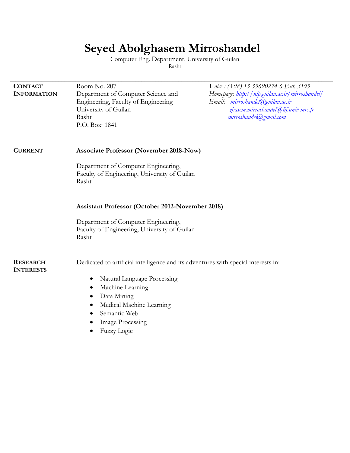# **Seyed Abolghasem Mirroshandel**

Computer Eng. Department, University of Guilan Rasht

| <b>CONTACT</b>                      | Room No. 207                                                                                                                 | Voice: (+98) 13-33690274-6 Ext. 3193                                                                                                                 |  |
|-------------------------------------|------------------------------------------------------------------------------------------------------------------------------|------------------------------------------------------------------------------------------------------------------------------------------------------|--|
| <b>INFORMATION</b>                  | Department of Computer Science and<br>Engineering, Faculty of Engineering<br>University of Guilan<br>Rasht<br>P.O. Box: 1841 | Homepage: http://nlp.guilan.ac.ir/mirroshandel/<br>Email: mirroshandel@guilan.ac.ir<br>ghasem.mirroshandel@lif.univ-mrs.fr<br>mirroshandel@gmail.com |  |
| <b>CURRENT</b>                      | <b>Associate Professor (November 2018-Now)</b>                                                                               |                                                                                                                                                      |  |
|                                     | Department of Computer Engineering,<br>Faculty of Engineering, University of Guilan<br>Rasht                                 |                                                                                                                                                      |  |
|                                     | <b>Assistant Professor (October 2012-November 2018)</b>                                                                      |                                                                                                                                                      |  |
|                                     | Department of Computer Engineering,<br>Faculty of Engineering, University of Guilan<br>Rasht                                 |                                                                                                                                                      |  |
| <b>RESEARCH</b><br><b>INTERESTS</b> | Dedicated to artificial intelligence and its adventures with special interests in:                                           |                                                                                                                                                      |  |
|                                     | Natural Language Processing<br>$\bullet$                                                                                     |                                                                                                                                                      |  |
|                                     | Machine Learning                                                                                                             |                                                                                                                                                      |  |
|                                     | Data Mining<br>٠                                                                                                             |                                                                                                                                                      |  |
|                                     | Medical Machine Learning<br>Semantic Web                                                                                     |                                                                                                                                                      |  |
|                                     | <b>Image Processing</b>                                                                                                      |                                                                                                                                                      |  |
|                                     | Fuzzy Logic                                                                                                                  |                                                                                                                                                      |  |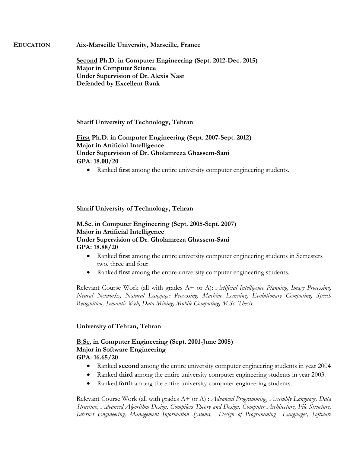**EDUCATION Aix-Marseille University, Marseille, France**

**Second Ph.D. in Computer Engineering (Sept. 2012-Dec. 2015) Major in Computer Science Under Supervision of Dr. Alexis Nasr Defended by Excellent Rank**

**Sharif University of Technology, Tehran**

**First Ph.D. in Computer Engineering (Sept. 2007-Sept. 2012) Major in Artificial Intelligence Under Supervision of Dr. Gholamreza Ghassem-Sani GPA: 18.08/20**

Ranked **first** among the entire university computer engineering students.

# **Sharif University of Technology, Tehran**

**M.Sc. in Computer Engineering (Sept. 2005-Sept. 2007) Major in Artificial Intelligence Under Supervision of Dr. Gholamreza Ghassem-Sani GPA: 18.88/20**

- Ranked **first** among the entire university computer engineering students in Semesters two, three and four.
- Ranked **first** among the entire university computer engineering students.

Relevant Course Work (all with grades A+ or A): *Artificial Intelligence Planning, Image Processing, Neural Networks, Natural Language Processing, Machine Learning, Evolutionary Computing, Speech Recognition, Semantic Web, Data Mining, Mobile Computing, M.Sc. Thesis.*

# **University of Tehran, Tehran**

# **B.Sc. in Computer Engineering (Sept. 2001-June 2005) Major in Software Engineering GPA: 16.65/20**

- Ranked **second** among the entire university computer engineering students in year 2004
- Ranked **third** among the entire university computer engineering students in year 2003.
- Ranked **forth** among the entire university computer engineering students.

Relevant Course Work (all with grades A+ or A) : *Advanced Programming, Assembly Language, Data Structure, Advanced Algorithm Design, Compilers Theory and Design, Computer Architecture, File Structure, Internet Engineering, Management Information Systems, Design of Programming Languages, Software*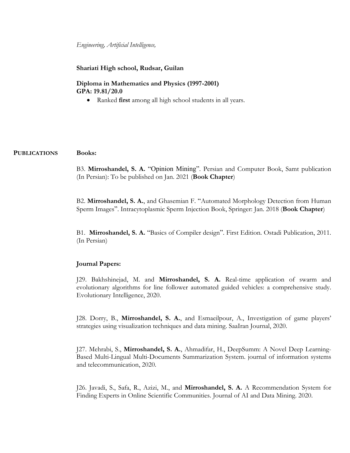*Engineering, Artificial Intelligence,* 

**Shariati High school, Rudsar, Guilan**

**Diploma in Mathematics and Physics (1997-2001) GPA: 19.81/20.0**

Ranked **first** among all high school students in all years.

#### **PUBLICATIONS Books:**

B3. **Mirroshandel, S. A.** "Opinion Mining". Persian and Computer Book, Samt publication (In Persian): To be published on Jan. 2021 (**Book Chapter**)

B2. **Mirroshandel, S. A.**, and Ghasemian F. "Automated Morphology Detection from Human Sperm Images". Intracytoplasmic Sperm Injection Book, Springer: Jan. 2018 (**Book Chapter**)

B1. **Mirroshandel, S. A.** "Basics of Compiler design". First Edition. Ostadi Publication, 2011. (In Persian)

#### **Journal Papers:**

J29. Bakhshinejad, M. and **Mirroshandel, S. A.** Real-time application of swarm and evolutionary algorithms for line follower automated guided vehicles: a comprehensive study. Evolutionary Intelligence, 2020.

J28. Dorry, B., **Mirroshandel, S. A.**, and Esmaeilpour, A., Investigation of game players' strategies using visualization techniques and data mining. SaaIran Journal, 2020.

J27. Mehrabi, S., **Mirroshandel, S. A.**, Ahmadifar, H., DeepSumm: A Novel Deep Learning-Based Multi-Lingual Multi-Documents Summarization System. journal of information systems and telecommunication, 2020.

J26. Javadi, S., Safa, R., Azizi, M., and **Mirroshandel, S. A.** A Recommendation System for Finding Experts in Online Scientific Communities. Journal of AI and Data Mining. 2020.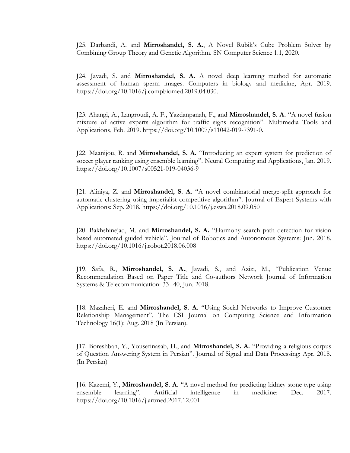J25. Darbandi, A. and **Mirroshandel, S. A.**, A Novel Rubik's Cube Problem Solver by Combining Group Theory and Genetic Algorithm. SN Computer Science 1.1, 2020.

J24. Javadi, S. and **Mirroshandel, S. A.** A novel deep learning method for automatic assessment of human sperm images. Computers in biology and medicine, Apr. 2019. https://doi.org/10.1016/j.compbiomed.2019.04.030.

J23. Ahangi, A., Langroudi, A. F., Yazdanpanah, F., and **Mirroshandel, S. A.** "A novel fusion mixture of active experts algorithm for traffic signs recognition". Multimedia Tools and Applications, Feb. 2019. https://doi.org/10.1007/s11042-019-7391-0.

J22. Maanijou, R. and **Mirroshandel, S. A.** "Introducing an expert system for prediction of soccer player ranking using ensemble learning". Neural Computing and Applications, Jan. 2019. https://doi.org/10.1007/s00521-019-04036-9

J21. Aliniya, Z. and **Mirroshandel, S. A.** "A novel combinatorial merge-split approach for automatic clustering using imperialist competitive algorithm". Journal of Expert Systems with Applications: Sep. 2018. https://doi.org/10.1016/j.eswa.2018.09.050

J20. Bakhshinejad, M. and **Mirroshandel, S. A.** "Harmony search path detection for vision based automated guided vehicle". Journal of Robotics and Autonomous Systems: Jun. 2018. https://doi.org/10.1016/j.robot.2018.06.008

J19. Safa, R., **Mirroshandel, S. A.**, Javadi, S., and Azizi, M., "Publication Venue Recommendation Based on Paper Title and Co-authors Network Journal of Information Systems & Telecommunication: 33--40, Jun. 2018.

J18. Mazaheri, E. and **Mirroshandel, S. A.** "Using Social Networks to Improve Customer Relationship Management". The CSI Journal on Computing Science and Information Technology 16(1): Aug. 2018 (In Persian).

J17. Boreshban, Y., Yousefinasab, H., and **Mirroshandel, S. A.** "Providing a religious corpus of Question Answering System in Persian". Journal of Signal and Data Processing: Apr. 2018. (In Persian)

J16. Kazemi, Y., **Mirroshandel, S. A.** "A novel method for predicting kidney stone type using ensemble learning". Artificial intelligence in medicine: Dec. 2017. https://doi.org/10.1016/j.artmed.2017.12.001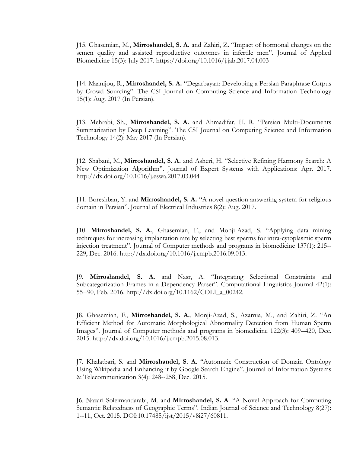J15. Ghasemian, M., **Mirroshandel, S. A.** and Zahiri, Z. "Impact of hormonal changes on the semen quality and assisted reproductive outcomes in infertile men". Journal of Applied Biomedicine 15(3): July 2017. https://doi.org/10.1016/j.jab.2017.04.003

J14. Maanijou, R., **Mirroshandel, S. A.** "Degarbayan: Developing a Persian Paraphrase Corpus by Crowd Sourcing". The CSI Journal on Computing Science and Information Technology 15(1): Aug. 2017 (In Persian).

J13. Mehrabi, Sh., **Mirroshandel, S. A.** and Ahmadifar, H. R. "Persian Multi-Documents Summarization by Deep Learning". The CSI Journal on Computing Science and Information Technology 14(2): May 2017 (In Persian).

J12. Shabani, M., **Mirroshandel, S. A.** and Asheri, H. "Selective Refining Harmony Search: A New Optimization Algorithm". Journal of Expert Systems with Applications: Apr. 2017. http://dx.doi.org/10.1016/j.eswa.2017.03.044

J11. Boreshban, Y. and **Mirroshandel, S. A.** "A novel question answering system for religious domain in Persian". Journal of Electrical Industries 8(2): Aug. 2017.

J10. **Mirroshandel, S. A.**, Ghasemian, F., and Monji-Azad, S. "Applying data mining techniques for increasing implantation rate by selecting best sperms for intra-cytoplasmic sperm injection treatment". Journal of Computer methods and programs in biomedicine 137(1): 215-- 229, Dec. 2016. http://dx.doi.org/10.1016/j.cmpb.2016.09.013.

J9. **Mirroshandel, S. A.** and Nasr, A. "Integrating Selectional Constraints and Subcategorization Frames in a Dependency Parser". Computational Linguistics Journal 42(1): 55--90, Feb. 2016. http://dx.doi.org/10.1162/COLI\_a\_00242.

J8. Ghasemian, F., **Mirroshandel, S. A.**, Monji-Azad, S., Azarnia, M., and Zahiri, Z. "An Efficient Method for Automatic Morphological Abnormality Detection from Human Sperm Images". Journal of Computer methods and programs in biomedicine 122(3): 409--420, Dec. 2015. http://dx.doi.org/10.1016/j.cmpb.2015.08.013.

J7. Khalatbari, S. and **Mirroshandel, S. A.** "Automatic Construction of Domain Ontology Using Wikipedia and Enhancing it by Google Search Engine". Journal of Information Systems & Telecommunication 3(4): 248--258, Dec. 2015.

J6. Nazari Soleimandarabi, M. and **Mirroshandel, S. A**. "A Novel Approach for Computing Semantic Relatedness of Geographic Terms". Indian Journal of Science and Technology 8(27): 1--11, Oct. 2015. DOI:10.17485/ijst/2015/v8i27/60811.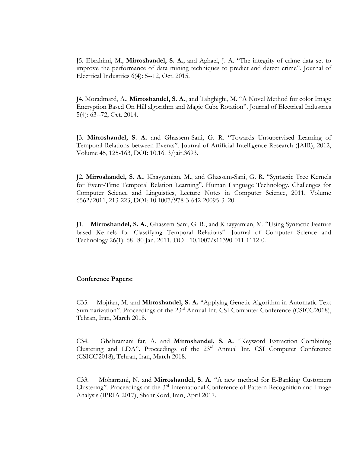J5. Ebrahimi, M., **Mirroshandel, S. A.**, and Aghaei, J. A. "The integrity of crime data set to improve the performance of data mining techniques to predict and detect crime". Journal of Electrical Industries 6(4): 5--12, Oct. 2015.

J4. Moradmard, A., **Mirroshandel, S. A.**, and Tahghighi, M. "A Novel Method for color Image Encryption Based On Hill algorithm and Magic Cube Rotation". Journal of Electrical Industries 5(4): 63--72, Oct. 2014.

J3. **Mirroshandel, S. A.** and Ghassem-Sani, G. R. "Towards Unsupervised Learning of Temporal Relations between Events". Journal of Artificial Intelligence Research (JAIR), 2012, Volume 45, 125-163, DOI: 10.1613/jair.3693.

J2. **Mirroshandel, S. A.**, Khayyamian, M., and Ghassem-Sani, G. R. "Syntactic Tree Kernels for Event-Time Temporal Relation Learning". Human Language Technology. Challenges for Computer Science and Linguistics, Lecture Notes in Computer Science, 2011, Volume 6562/2011, 213-223, DOI: 10.1007/978-3-642-20095-3\_20.

J1. **Mirroshandel, S. A.**, Ghassem-Sani, G. R., and Khayyamian, M. "Using Syntactic Feature based Kernels for Classifying Temporal Relations". Journal of Computer Science and Technology 26(1): 68--80 Jan. 2011. DOI: 10.1007/s11390-011-1112-0.

#### **Conference Papers:**

C35. Mojrian, M. and **Mirroshandel, S. A.** "Applying Genetic Algorithm in Automatic Text Summarization". Proceedings of the 23<sup>rd</sup> Annual Int. CSI Computer Conference (CSICC'2018), Tehran, Iran, March 2018.

C34. Ghahramani far, A. and **Mirroshandel, S. A.** "Keyword Extraction Combining Clustering and LDA". Proceedings of the 23rd Annual Int. CSI Computer Conference (CSICC'2018), Tehran, Iran, March 2018.

C33. Moharrami, N. and **Mirroshandel, S. A.** "A new method for E-Banking Customers Clustering". Proceedings of the 3<sup>rd</sup> International Conference of Pattern Recognition and Image Analysis (IPRIA 2017), ShahrKord, Iran, April 2017.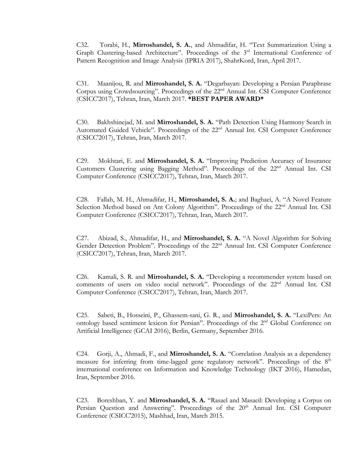C32. Torabi, H., **Mirroshandel, S. A.**, and Ahmadifar, H. "Text Summarization Using a Graph Clustering-based Architecture". Proceedings of the 3<sup>rd</sup> International Conference of Pattern Recognition and Image Analysis (IPRIA 2017), ShahrKord, Iran, April 2017.

C31. Maanijou, R. and **Mirroshandel, S. A.** "Degarbayan: Developing a Persian Paraphrase Corpus using Crowdsourcing". Proceedings of the 22nd Annual Int. CSI Computer Conference (CSICC'2017), Tehran, Iran, March 2017. **\*BEST PAPER AWARD\***

C30. Bakhshinejad, M. and **Mirroshandel, S. A.** "Path Detection Using Harmony Search in Automated Guided Vehicle". Proceedings of the 22<sup>nd</sup> Annual Int. CSI Computer Conference (CSICC'2017), Tehran, Iran, March 2017.

C29. Mokhtari, E. and **Mirroshandel, S. A.** "Improving Prediction Accuracy of Insurance Customers Clustering using Bagging Method". Proceedings of the 22nd Annual Int. CSI Computer Conference (CSICC'2017), Tehran, Iran, March 2017.

C28. Fallah, M. H., Ahmadifar, H., **Mirroshandel, S. A.**; and Baghaei, A. "A Novel Feature Selection Method based on Ant Colony Algorithm". Proceedings of the 22<sup>nd</sup> Annual Int. CSI Computer Conference (CSICC'2017), Tehran, Iran, March 2017.

C27. Abizad, S., Ahmadifar, H., and **Mirroshandel, S. A.** "A Novel Algorithm for Solving Gender Detection Problem". Proceedings of the 22<sup>nd</sup> Annual Int. CSI Computer Conference (CSICC'2017), Tehran, Iran, March 2017.

C26. Kamali, S. R. and **Mirroshandel, S. A.** "Developing a recommender system based on comments of users on video social network". Proceedings of the 22<sup>nd</sup> Annual Int. CSI Computer Conference (CSICC'2017), Tehran, Iran, March 2017.

C25. Sabeti, B., Hosseini, P., Ghassem-sani, G. R., and **Mirroshandel, S. A.** "LexiPers: An ontology based sentiment lexicon for Persian". Proceedings of the 2<sup>nd</sup> Global Conference on Artificial Intelligence (GCAI 2016), Berlin, Germany, September 2016.

C24. Gorji, A., Ahmadi, F., and **Mirroshandel, S. A.** "Correlation Analysis as a dependency measure for inferring from time-lagged gene regulatory network". Proceedings of the 8<sup>th</sup> international conference on Information and Knowledge Technology (IKT 2016), Hamedan, Iran, September 2016.

C23. Boreshban, Y. and **Mirroshandel, S. A.** "Rasael and Masaeil: Developing a Corpus on Persian Question and Answering". Proceedings of the 20<sup>th</sup> Annual Int. CSI Computer Conference (CSICC'2015), Mashhad, Iran, March 2015.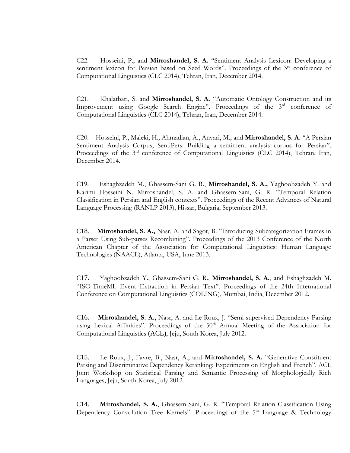C22. Hosseini, P., and **Mirroshandel, S. A.** "Sentiment Analysis Lexicon: Developing a sentiment lexicon for Persian based on Seed Words". Proceedings of the 3<sup>rd</sup> conference of Computational Linguistics (CLC 2014), Tehran, Iran, December 2014.

C21. Khalatbari, S. and **Mirroshandel, S. A.** "Automatic Ontology Construction and its Improvement using Google Search Engine". Proceedings of the 3<sup>rd</sup> conference of Computational Linguistics (CLC 2014), Tehran, Iran, December 2014.

C20. Hosseini, P., Maleki, H., Ahmadian, A., Anvari, M., and **Mirroshandel, S. A.** "A Persian Sentiment Analysis Corpus, SentiPers: Building a sentiment analysis corpus for Persian". Proceedings of the 3<sup>rd</sup> conference of Computational Linguistics (CLC 2014), Tehran, Iran, December 2014.

C19. Eshaghzadeh M., Ghassem-Sani G. R., **Mirroshandel, S. A.,** Yaghoobzadeh Y. and Karimi Hosseini N. Mirroshandel, S. A. and Ghassem-Sani, G. R. "Temporal Relation Classification in Persian and English contexts". Proceedings of the Recent Advances of Natural Language Processing (RANLP 2013), Hissar, Bulgaria, September 2013.

C18. **Mirroshandel, S. A.,** Nasr, A. and Sagot, B. "Introducing Subcategorization Frames in a Parser Using Sub-parses Recombining". Proceedings of the 2013 Conference of the North American Chapter of the Association for Computational Linguistics: Human Language Technologies (NAACL), Atlanta, USA, June 2013.

C17. Yaghoobzadeh Y., Ghassem-Sani G. R., **Mirroshandel, S. A.**, and Eshaghzadeh M. "ISO-TimeML Event Extraction in Persian Text". Proceedings of the 24th International Conference on Computational Linguistics (COLING), Mumbai, India, December 2012.

C16. **Mirroshandel, S. A.,** Nasr, A. and Le Roux, J. "Semi-supervised Dependency Parsing using Lexical Affinities". Proceedings of the 50<sup>th</sup> Annual Meeting of the Association for Computational Linguistics (ACL), Jeju, South Korea, July 2012.

C15. Le Roux, J., Favre, B., Nasr, A., and **Mirroshandel, S. A.** "Generative Constituent Parsing and Discriminative Dependency Reranking: Experiments on English and French". ACL Joint Workshop on Statistical Parsing and Semantic Processing of Morphologically Rich Languages, Jeju, South Korea, July 2012.

C14. **Mirroshandel, S. A.**, Ghassem-Sani, G. R. "Temporal Relation Classification Using Dependency Convolution Tree Kernels". Proceedings of the 5<sup>th</sup> Language & Technology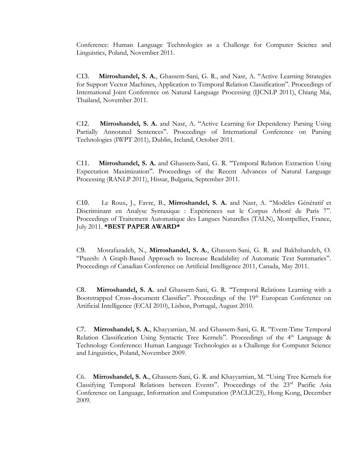Conference: Human Language Technologies as a Challenge for Computer Science and Linguistics, Poland, November 2011.

C13. **Mirroshandel, S. A.**, Ghassem-Sani, G. R., and Nasr, A. "Active Learning Strategies for Support Vector Machines, Application to Temporal Relation Classification". Proceedings of International Joint Conference on Natural Language Processing (IJCNLP 2011), Chiang Mai, Thailand, November 2011.

C12. **Mirroshandel, S. A.** and Nasr, A. "Active Learning for Dependency Parsing Using Partially Annotated Sentences". Proceedings of International Conference on Parsing Technologies (IWPT 2011), Dublin, Ireland, October 2011.

C11. **Mirroshandel, S. A.** and Ghassem-Sani, G. R. "Temporal Relation Extraction Using Expectation Maximization". Proceedings of the Recent Advances of Natural Language Processing (RANLP 2011), Hissar, Bulgaria, September 2011.

C10. Le Roux, J., Favre, B., **Mirroshandel, S. A.** and Nasr, A. "Modèles Génératif et Discriminant en Analyse Syntaxique : Expériences sur le Corpus Arboré de Paris 7". Proceedings of Traitement Automatique des Langues Naturelles (TALN), Montpellier, France, July 2011. **\*BEST PAPER AWARD\***

C9. Mostafazadeh, N., **Mirroshandel, S. A.**, Ghassem-Sani, G. R. and Bakhshandeh, O. "Pazesh: A Graph-Based Approach to Increase Readability of Automatic Text Summaries". Proceedings of Canadian Conference on Artificial Intelligence 2011, Canada, May 2011.

C8. **Mirroshandel, S. A.** and Ghassem-Sani, G. R. "Temporal Relations Learning with a Bootstrapped Cross-document Classifier". Proceedings of the 19<sup>th</sup> European Conference on Artificial Intelligence (ECAI 2010), Lisbon, Portugal, August 2010.

C7. **Mirroshandel, S. A.**, Khayyamian, M. and Ghassem-Sani, G. R. "Event-Time Temporal Relation Classification Using Syntactic Tree Kernels". Proceedings of the 4<sup>th</sup> Language & Technology Conference: Human Language Technologies as a Challenge for Computer Science and Linguistics, Poland, November 2009.

C6. **Mirroshandel, S. A.**, Ghassem-Sani, G. R. and Khayyamian, M. "Using Tree Kernels for Classifying Temporal Relations between Events". Proceedings of the 23rd Pacific Asia Conference on Language, Information and Computation (PACLIC23), Hong Kong, December 2009.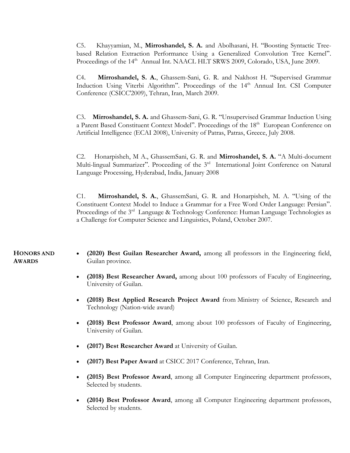C5. Khayyamian, M., **Mirroshandel, S. A.** and Abolhasani, H. "Boosting Syntactic Treebased Relation Extraction Performance Using a Generalized Convolution Tree Kernel". Proceedings of the 14<sup>th</sup> Annual Int. NAACL HLT SRWS 2009, Colorado, USA, June 2009.

C4. **Mirroshandel, S. A.**, Ghassem-Sani, G. R. and Nakhost H. "Supervised Grammar Induction Using Viterbi Algorithm". Proceedings of the 14<sup>th</sup> Annual Int. CSI Computer Conference (CSICC'2009), Tehran, Iran, March 2009.

C3. **Mirroshandel, S. A.** and Ghassem-Sani, G. R. "Unsupervised Grammar Induction Using a Parent Based Constituent Context Model". Proceedings of the 18<sup>th</sup> European Conference on Artificial Intelligence (ECAI 2008), University of Patras, Patras, Greece, July 2008.

C2. Honarpisheh, M A., GhassemSani, G. R. and **Mirroshandel, S. A.** "A Multi-document Multi-lingual Summarizer". Proceeding of the 3<sup>rd</sup> International Joint Conference on Natural Language Processing, Hyderabad, India, January 2008

C1. **Mirroshandel, S. A.**, GhassemSani, G. R. and Honarpisheh, M. A. "Using of the Constituent Context Model to Induce a Grammar for a Free Word Order Language: Persian". Proceedings of the 3<sup>rd</sup> Language & Technology Conference: Human Language Technologies as a Challenge for Computer Science and Linguistics, Poland, October 2007.

### **HONORS AND AWARDS**

- **(2020) Best Guilan Researcher Award,** among all professors in the Engineering field, Guilan province.
- **(2018) Best Researcher Award,** among about 100 professors of Faculty of Engineering, University of Guilan.
- **(2018) Best Applied Research Project Award** from Ministry of Science, Research and Technology (Nation-wide award)
- **(2018) Best Professor Award**, among about 100 professors of Faculty of Engineering, University of Guilan.
- **(2017) Best Researcher Award** at University of Guilan.
- **(2017) Best Paper Award** at CSICC 2017 Conference, Tehran, Iran.
- **(2015) Best Professor Award**, among all Computer Engineering department professors, Selected by students.
- **(2014) Best Professor Award**, among all Computer Engineering department professors, Selected by students.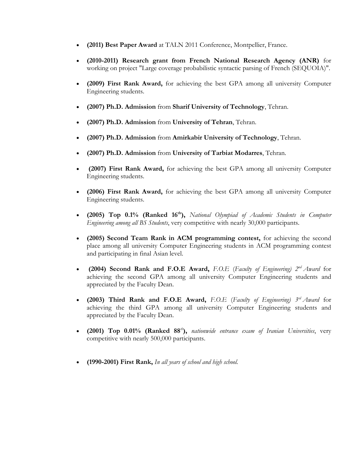- **(2011) Best Paper Award** at TALN 2011 Conference, Montpellier, France.
- **(2010-2011) Research grant from French National Research Agency (ANR)** for working on project "Large coverage probabilistic syntactic parsing of French (SEQUOIA)".
- **(2009) First Rank Award,** for achieving the best GPA among all university Computer Engineering students.
- **(2007) Ph.D. Admission** from **Sharif University of Technology**, Tehran.
- **(2007) Ph.D. Admission** from **University of Tehran**, Tehran.
- **(2007) Ph.D. Admission** from **Amirkabir University of Technology**, Tehran.
- **(2007) Ph.D. Admission** from **University of Tarbiat Modarres**, Tehran.
- **(2007) First Rank Award,** for achieving the best GPA among all university Computer Engineering students.
- **(2006) First Rank Award,** for achieving the best GPA among all university Computer Engineering students.
- **(2005) Top 0.1% (Ranked 16th),** *National Olympiad of Academic Students in Computer Engineering among all BS Students*, very competitive with nearly 30,000 participants.
- **(2005) Second Team Rank in ACM programming contest,** for achieving the second place among all university Computer Engineering students in ACM programming contest and participating in final Asian level.
- **(2004) Second Rank and F.O.E Award,** *F.O.E* (*Faculty of Engineering) 2nd Award* for achieving the second GPA among all university Computer Engineering students and appreciated by the Faculty Dean.
- **(2003) Third Rank and F.O.E Award,** *F.O.E* (*Faculty of Engineering) 3rd Award* for achieving the third GPA among all university Computer Engineering students and appreciated by the Faculty Dean.
- **(2001) Top 0.01% (Ranked 88***th***),** *nationwide entrance exam of Iranian Universities*, very competitive with nearly 500,000 participants.
- **(1990-2001) First Rank,** *In all years of school and high school.*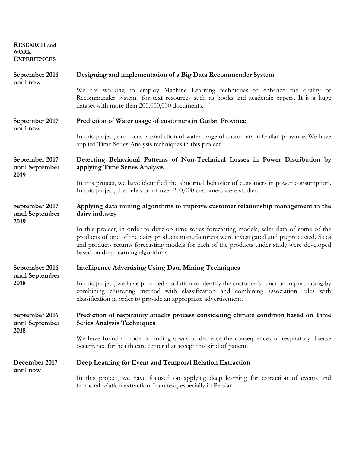**RESEARCH and WORK EXPERIENCES**

| September 2016<br>until now               | Designing and implementation of a Big Data Recommender System                                                                                                                                                                                                                                                                        |
|-------------------------------------------|--------------------------------------------------------------------------------------------------------------------------------------------------------------------------------------------------------------------------------------------------------------------------------------------------------------------------------------|
|                                           | We are working to employ Machine Learning techniques to enhance the quality of<br>Recommender systems for text resources such as books and academic papers. It is a huge<br>dataset with more than 200,000,000 documents.                                                                                                            |
| September 2017                            | Prediction of Water usage of customers in Guilan Province                                                                                                                                                                                                                                                                            |
| until now                                 | In this project, our focus is prediction of water usage of customers in Guilan province. We have<br>applied Time Series Analysis techniques in this project.                                                                                                                                                                         |
| September 2017<br>until September         | Detecting Behavioral Patterns of Non-Technical Losses in Power Distribution by<br>applying Time Series Analysis                                                                                                                                                                                                                      |
| 2019                                      | In this project, we have identified the abnormal behavior of customers in power consumption.<br>In this project, the behavior of over 200,000 customers were studied.                                                                                                                                                                |
| September 2017<br>until September<br>2019 | Applying data mining algorithms to improve customer relationship management in the<br>dairy industry                                                                                                                                                                                                                                 |
|                                           | In this project, in order to develop time series forecasting models, sales data of some of the<br>products of one of the dairy products manufacturers were investigated and preprocessed. Sales<br>and products returns forecasting models for each of the products under study were developed<br>based on deep learning algorithms. |
| September 2016                            | <b>Intelligence Advertising Using Data Mining Techniques</b>                                                                                                                                                                                                                                                                         |
| until September<br>2018                   | In this project, we have provided a solution to identify the customer's function in purchasing by<br>combining clustering method with classification and combining association rules with<br>classification in order to provide an appropriate advertisement.                                                                        |
| September 2016<br>until September<br>2018 | Prediction of respiratory attacks process considering climate condition based on Time<br><b>Series Analysis Techniques</b>                                                                                                                                                                                                           |
|                                           | We have found a model is finding a way to decrease the consequences of respiratory disease<br>occurrence for health care center that accept this kind of patient.                                                                                                                                                                    |
| December 2017<br>until now                | Deep Learning for Event and Temporal Relation Extraction                                                                                                                                                                                                                                                                             |
|                                           | In this project, we have focused on applying deep learning for extraction of events and<br>temporal relation extraction from text, especially in Persian.                                                                                                                                                                            |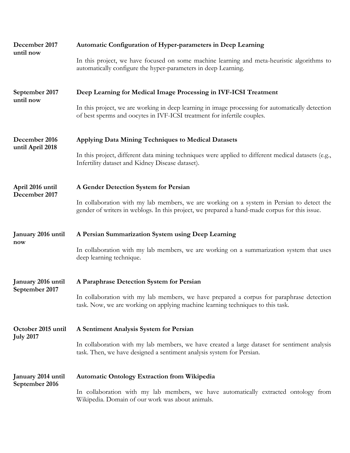| December 2017<br>until now             | Automatic Configuration of Hyper-parameters in Deep Learning                                                                                                                               |  |
|----------------------------------------|--------------------------------------------------------------------------------------------------------------------------------------------------------------------------------------------|--|
|                                        | In this project, we have focused on some machine learning and meta-heuristic algorithms to<br>automatically configure the hyper-parameters in deep Learning.                               |  |
| September 2017<br>until now            | Deep Learning for Medical Image Processing in IVF-ICSI Treatment                                                                                                                           |  |
|                                        | In this project, we are working in deep learning in image processing for automatically detection<br>of best sperms and oocytes in IVF-ICSI treatment for infertile couples.                |  |
| December 2016<br>until April 2018      | Applying Data Mining Techniques to Medical Datasets                                                                                                                                        |  |
|                                        | In this project, different data mining techniques were applied to different medical datasets (e.g.,<br>Infertility dataset and Kidney Disease dataset).                                    |  |
| April 2016 until<br>December 2017      | A Gender Detection System for Persian                                                                                                                                                      |  |
|                                        | In collaboration with my lab members, we are working on a system in Persian to detect the<br>gender of writers in weblogs. In this project, we prepared a hand-made corpus for this issue. |  |
| January 2016 until<br>now              | A Persian Summarization System using Deep Learning                                                                                                                                         |  |
|                                        | In collaboration with my lab members, we are working on a summarization system that uses<br>deep learning technique.                                                                       |  |
| January 2016 until                     | A Paraphrase Detection System for Persian                                                                                                                                                  |  |
| September 2017                         | In collaboration with my lab members, we have prepared a corpus for paraphrase detection<br>task. Now, we are working on applying machine learning techniques to this task.                |  |
| October 2015 until<br><b>July 2017</b> | A Sentiment Analysis System for Persian                                                                                                                                                    |  |
|                                        | In collaboration with my lab members, we have created a large dataset for sentiment analysis<br>task. Then, we have designed a sentiment analysis system for Persian.                      |  |
| January 2014 until<br>September 2016   | <b>Automatic Ontology Extraction from Wikipedia</b>                                                                                                                                        |  |
|                                        | In collaboration with my lab members, we have automatically extracted ontology from<br>Wikipedia. Domain of our work was about animals.                                                    |  |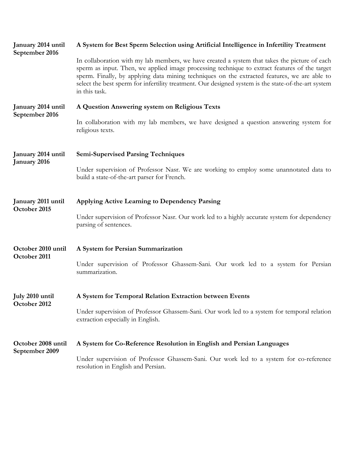| January 2014 until<br>September 2016 | A System for Best Sperm Selection using Artificial Intelligence in Infertility Treatment                                                                                                                                                                                                                                                                                                                               |  |
|--------------------------------------|------------------------------------------------------------------------------------------------------------------------------------------------------------------------------------------------------------------------------------------------------------------------------------------------------------------------------------------------------------------------------------------------------------------------|--|
|                                      | In collaboration with my lab members, we have created a system that takes the picture of each<br>sperm as input. Then, we applied image processing technique to extract features of the target<br>sperm. Finally, by applying data mining techniques on the extracted features, we are able to<br>select the best sperm for infertility treatment. Our designed system is the state-of-the-art system<br>in this task. |  |
| January 2014 until<br>September 2016 | A Question Answering system on Religious Texts                                                                                                                                                                                                                                                                                                                                                                         |  |
|                                      | In collaboration with my lab members, we have designed a question answering system for<br>religious texts.                                                                                                                                                                                                                                                                                                             |  |
| January 2014 until<br>January 2016   | <b>Semi-Supervised Parsing Techniques</b>                                                                                                                                                                                                                                                                                                                                                                              |  |
|                                      | Under supervision of Professor Nasr. We are working to employ some unannotated data to<br>build a state-of-the-art parser for French.                                                                                                                                                                                                                                                                                  |  |
| January 2011 until<br>October 2015   | Applying Active Learning to Dependency Parsing                                                                                                                                                                                                                                                                                                                                                                         |  |
|                                      | Under supervision of Professor Nasr. Our work led to a highly accurate system for dependency<br>parsing of sentences.                                                                                                                                                                                                                                                                                                  |  |
| October 2010 until<br>October 2011   | A System for Persian Summarization                                                                                                                                                                                                                                                                                                                                                                                     |  |
|                                      | Under supervision of Professor Ghassem-Sani. Our work led to a system for Persian<br>summarization.                                                                                                                                                                                                                                                                                                                    |  |
| July 2010 until<br>October 2012      | A System for Temporal Relation Extraction between Events                                                                                                                                                                                                                                                                                                                                                               |  |
|                                      | Under supervision of Professor Ghassem-Sani. Our work led to a system for temporal relation<br>extraction especially in English.                                                                                                                                                                                                                                                                                       |  |
| October 2008 until<br>September 2009 | A System for Co-Reference Resolution in English and Persian Languages                                                                                                                                                                                                                                                                                                                                                  |  |
|                                      | Under supervision of Professor Ghassem-Sani. Our work led to a system for co-reference<br>resolution in English and Persian.                                                                                                                                                                                                                                                                                           |  |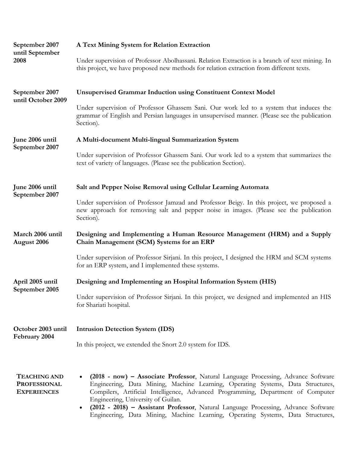| September 2007<br>until September<br>2008                        | A Text Mining System for Relation Extraction                                                                                                                                                                                                                                                                                                                                                                                                                            |  |
|------------------------------------------------------------------|-------------------------------------------------------------------------------------------------------------------------------------------------------------------------------------------------------------------------------------------------------------------------------------------------------------------------------------------------------------------------------------------------------------------------------------------------------------------------|--|
|                                                                  | Under supervision of Professor Abolhassani. Relation Extraction is a branch of text mining. In<br>this project, we have proposed new methods for relation extraction from different texts.                                                                                                                                                                                                                                                                              |  |
| September 2007<br>until October 2009                             | <b>Unsupervised Grammar Induction using Constituent Context Model</b>                                                                                                                                                                                                                                                                                                                                                                                                   |  |
|                                                                  | Under supervision of Professor Ghassem Sani. Our work led to a system that induces the<br>grammar of English and Persian languages in unsupervised manner. (Please see the publication<br>Section).                                                                                                                                                                                                                                                                     |  |
| June 2006 until<br>September 2007                                | A Multi-document Multi-lingual Summarization System                                                                                                                                                                                                                                                                                                                                                                                                                     |  |
|                                                                  | Under supervision of Professor Ghassem Sani. Our work led to a system that summarizes the<br>text of variety of languages. (Please see the publication Section).                                                                                                                                                                                                                                                                                                        |  |
| June 2006 until<br>September 2007                                | Salt and Pepper Noise Removal using Cellular Learning Automata                                                                                                                                                                                                                                                                                                                                                                                                          |  |
|                                                                  | Under supervision of Professor Jamzad and Professor Beigy. In this project, we proposed a<br>new approach for removing salt and pepper noise in images. (Please see the publication<br>Section).                                                                                                                                                                                                                                                                        |  |
| March 2006 until<br>August 2006                                  | Designing and Implementing a Human Resource Management (HRM) and a Supply<br>Chain Management (SCM) Systems for an ERP                                                                                                                                                                                                                                                                                                                                                  |  |
|                                                                  | Under supervision of Professor Sirjani. In this project, I designed the HRM and SCM systems<br>for an ERP system, and I implemented these systems.                                                                                                                                                                                                                                                                                                                      |  |
| April 2005 until<br>September 2005                               | Designing and Implementing an Hospital Information System (HIS)                                                                                                                                                                                                                                                                                                                                                                                                         |  |
|                                                                  | Under supervision of Professor Sirjani. In this project, we designed and implemented an HIS<br>for Shariati hospital.                                                                                                                                                                                                                                                                                                                                                   |  |
| October 2003 until<br>February 2004                              | <b>Intrusion Detection System (IDS)</b>                                                                                                                                                                                                                                                                                                                                                                                                                                 |  |
|                                                                  | In this project, we extended the Snort 2.0 system for IDS.                                                                                                                                                                                                                                                                                                                                                                                                              |  |
| <b>TEACHING AND</b><br><b>PROFESSIONAL</b><br><b>EXPERIENCES</b> | (2018 - now) - Associate Professor, Natural Language Processing, Advance Software<br>Engineering, Data Mining, Machine Learning, Operating Systems, Data Structures,<br>Compilers, Artificial Intelligence, Advanced Programming, Department of Computer<br>Engineering, University of Guilan.<br>(2012 - 2018) - Assistant Professor, Natural Language Processing, Advance Software<br>Engineering, Data Mining, Machine Learning, Operating Systems, Data Structures, |  |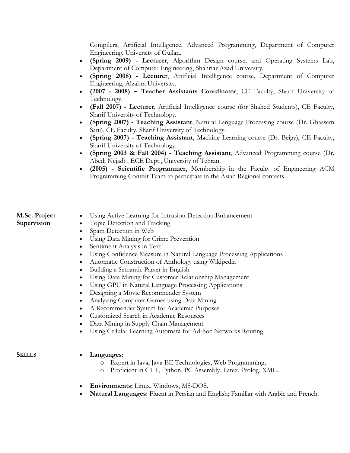Compilers, Artificial Intelligence, Advanced Programming, Department of Computer Engineering, University of Guilan.

- **(Spring 2009) - Lecturer**, Algorithm Design course, and Operating Systems Lab, Department of Computer Engineering, Shahriar Azad University.
- **(Spring 2008) - Lecturer**, Artificial Intelligence course, Department of Computer Engineering, Alzahra University.
- **(2007 - 2008) – Teacher Assistants Coordinator**, CE Faculty, Sharif University of Technology.
- **(Fall 2007) - Lecturer**, Artificial Intelligence course (for Shahed Students), CE Faculty, Sharif University of Technology.
- **(Spring 2007) - Teaching Assistant**, Natural Language Processing course (Dr. Ghassem Sani), CE Faculty, Sharif University of Technology.
- **(Spring 2007) - Teaching Assistant**, Machine Learning course (Dr. Beigy), CE Faculty, Sharif University of Technology.
- **(Spring 2003 & Fall 2004) - Teaching Assistant**, Advanced Programming course (Dr. Abedi Nejad) , ECE Dept., University of Tehran.
- **(2005) - Scientific Programmer,** Membership in the Faculty of Engineering ACM Programming Contest Team to participate in the Asian Regional contests.

# **M.Sc. Project Supervision**

- Using Active Learning for Intrusion Detection Enhancement
- Topic Detection and Tracking
- Spam Detection in Web
- Using Data Mining for Crime Prevention
- Sentiment Analysis in Text
- Using Confidence Measure in Natural Language Processing Applications
- Automatic Construction of Anthology using Wikipedia
- Building a Semantic Parser in English
- Using Data Mining for Customer Relationship Management
- Using GPU in Natural Language Processing Applications
- Designing a Movie Recommender System
- Analyzing Computer Games using Data Mining
- A Recommender System for Academic Purposes
- Customized Search in Academic Resources
- Data Mining in Supply Chain Management
- Using Cellular Learning Automata for Ad-hoc Networks Routing

# **SKILLS Languages:**

- o Expert in Java, Java EE Technologies, Web Programming,
- o Proficient in C++, Python, PC Assembly, Latex, Prolog, XML.
- **Environments:** Linux, Windows, MS-DOS.
- **Natural Languages:** Fluent in Persian and English; Familiar with Arabic and French.